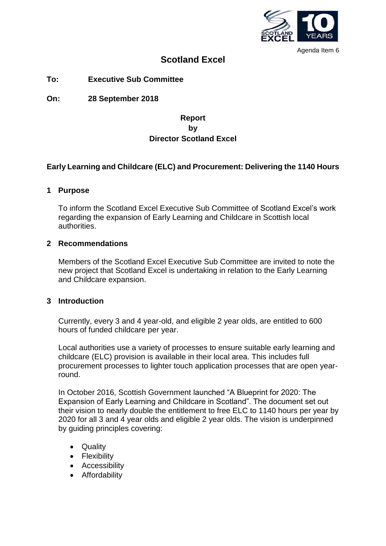

Agenda Item 6

# **Scotland Excel**

**To: Executive Sub Committee**

**On: 28 September 2018**

## **Report by Director Scotland Excel**

## **Early Learning and Childcare (ELC) and Procurement: Delivering the 1140 Hours**

#### **1 Purpose**

To inform the Scotland Excel Executive Sub Committee of Scotland Excel's work regarding the expansion of Early Learning and Childcare in Scottish local authorities.

#### **2 Recommendations**

Members of the Scotland Excel Executive Sub Committee are invited to note the new project that Scotland Excel is undertaking in relation to the Early Learning and Childcare expansion.

#### **3 Introduction**

Currently, every 3 and 4 year-old, and eligible 2 year olds, are entitled to 600 hours of funded childcare per year.

Local authorities use a variety of processes to ensure suitable early learning and childcare (ELC) provision is available in their local area. This includes full procurement processes to lighter touch application processes that are open yearround.

In October 2016, Scottish Government launched "A Blueprint for 2020: The Expansion of Early Learning and Childcare in Scotland". The document set out their vision to nearly double the entitlement to free ELC to 1140 hours per year by 2020 for all 3 and 4 year olds and eligible 2 year olds. The vision is underpinned by guiding principles covering:

- Quality
- Flexibility
- Accessibility
- Affordability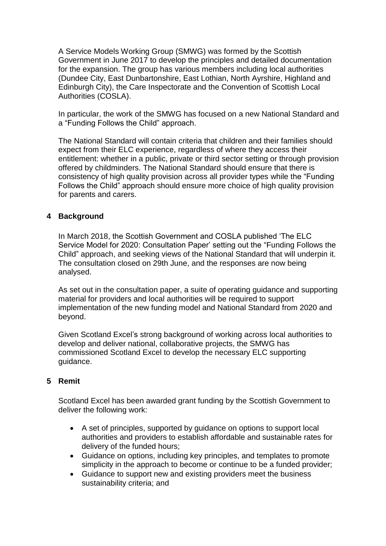A Service Models Working Group (SMWG) was formed by the Scottish Government in June 2017 to develop the principles and detailed documentation for the expansion. The group has various members including local authorities (Dundee City, East Dunbartonshire, East Lothian, North Ayrshire, Highland and Edinburgh City), the Care Inspectorate and the Convention of Scottish Local Authorities (COSLA).

In particular, the work of the SMWG has focused on a new National Standard and a "Funding Follows the Child" approach.

The National Standard will contain criteria that children and their families should expect from their ELC experience, regardless of where they access their entitlement: whether in a public, private or third sector setting or through provision offered by childminders. The National Standard should ensure that there is consistency of high quality provision across all provider types while the "Funding Follows the Child" approach should ensure more choice of high quality provision for parents and carers.

## **4 Background**

In March 2018, the Scottish Government and COSLA published 'The ELC Service Model for 2020: Consultation Paper' setting out the "Funding Follows the Child" approach, and seeking views of the National Standard that will underpin it. The consultation closed on 29th June, and the responses are now being analysed.

As set out in the consultation paper, a suite of operating guidance and supporting material for providers and local authorities will be required to support implementation of the new funding model and National Standard from 2020 and beyond.

Given Scotland Excel's strong background of working across local authorities to develop and deliver national, collaborative projects, the SMWG has commissioned Scotland Excel to develop the necessary ELC supporting guidance.

### **5 Remit**

Scotland Excel has been awarded grant funding by the Scottish Government to deliver the following work:

- A set of principles, supported by guidance on options to support local authorities and providers to establish affordable and sustainable rates for delivery of the funded hours;
- Guidance on options, including key principles, and templates to promote simplicity in the approach to become or continue to be a funded provider;
- Guidance to support new and existing providers meet the business sustainability criteria; and